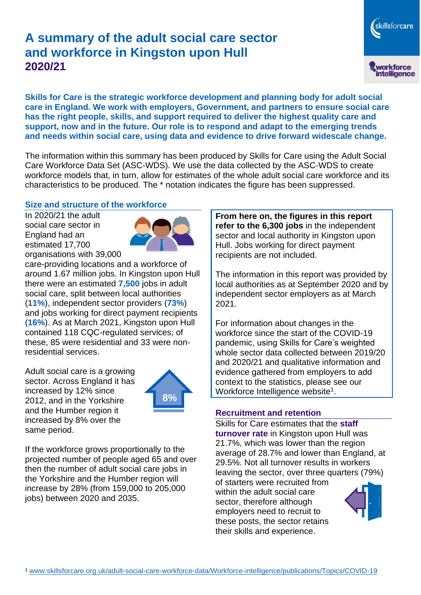# **A summary of the adult social care sector and workforce in Kingston upon Hull 2020/21**

skillsforcare workforce<br>intelligence

**Skills for Care is the strategic workforce development and planning body for adult social care in England. We work with employers, Government, and partners to ensure social care has the right people, skills, and support required to deliver the highest quality care and support, now and in the future. Our role is to respond and adapt to the emerging trends and needs within social care, using data and evidence to drive forward widescale change.**

The information within this summary has been produced by Skills for Care using the Adult Social Care Workforce Data Set (ASC-WDS). We use the data collected by the ASC-WDS to create workforce models that, in turn, allow for estimates of the whole adult social care workforce and its characteristics to be produced. The \* notation indicates the figure has been suppressed.

# **Size and structure of the workforce**

In 2020/21 the adult social care sector in England had an estimated 17,700 organisations with 39,000



care-providing locations and a workforce of around 1.67 million jobs. In Kingston upon Hull there were an estimated **7,500** jobs in adult social care, split between local authorities (**11%**), independent sector providers (**73%**) and jobs working for direct payment recipients (**16%**). As at March 2021, Kingston upon Hull contained 118 CQC-regulated services; of these, 85 were residential and 33 were nonresidential services.

Adult social care is a growing sector. Across England it has increased by 12% since 2012, and in the Yorkshire and the Humber region it increased by 8% over the same period.



If the workforce grows proportionally to the projected number of people aged 65 and over then the number of adult social care jobs in the Yorkshire and the Humber region will increase by 28% (from 159,000 to 205,000 jobs) between 2020 and 2035.

**From here on, the figures in this report refer to the 6,300 jobs** in the independent sector and local authority in Kingston upon Hull. Jobs working for direct payment recipients are not included.

The information in this report was provided by local authorities as at September 2020 and by independent sector employers as at March 2021.

For information about changes in the workforce since the start of the COVID-19 pandemic, using Skills for Care's weighted whole sector data collected between 2019/20 and 2020/21 and qualitative information and evidence gathered from employers to add context to the statistics, please see our Workforce Intelligence website<sup>1</sup>.

#### **Recruitment and retention**

Skills for Care estimates that the **staff turnover rate** in Kingston upon Hull was 21.7%, which was lower than the region average of 28.7% and lower than England, at 29.5%. Not all turnover results in workers leaving the sector, over three quarters (79%)

of starters were recruited from within the adult social care sector, therefore although employers need to recruit to these posts, the sector retains their skills and experience.

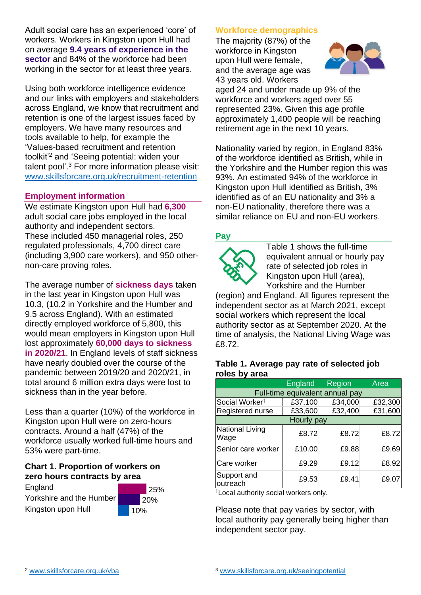Adult social care has an experienced 'core' of workers. Workers in Kingston upon Hull had on average **9.4 years of experience in the sector** and 84% of the workforce had been working in the sector for at least three years.

Using both workforce intelligence evidence and our links with employers and stakeholders across England, we know that recruitment and retention is one of the largest issues faced by employers. We have many resources and tools available to help, for example the 'Values-based recruitment and retention toolkit'<sup>2</sup> and 'Seeing potential: widen your talent pool'. <sup>3</sup> For more information please visit: [www.skillsforcare.org.uk/recruitment-retention](http://www.skillsforcare.org.uk/recruitment-retention)

# **Employment information**

We estimate Kingston upon Hull had **6,300** adult social care jobs employed in the local authority and independent sectors. These included 450 managerial roles, 250 regulated professionals, 4,700 direct care (including 3,900 care workers), and 950 othernon-care proving roles.

The average number of **sickness days** taken in the last year in Kingston upon Hull was 10.3, (10.2 in Yorkshire and the Humber and 9.5 across England). With an estimated directly employed workforce of 5,800, this would mean employers in Kingston upon Hull lost approximately **60,000 days to sickness in 2020/21**. In England levels of staff sickness have nearly doubled over the course of the pandemic between 2019/20 and 2020/21, in total around 6 million extra days were lost to sickness than in the year before.

Less than a quarter (10%) of the workforce in Kingston upon Hull were on zero-hours contracts. Around a half (47%) of the workforce usually worked full-time hours and 53% were part-time.

#### **Chart 1. Proportion of workers on zero hours contracts by area**

**England** Yorkshire and the Humber Kingston upon Hull



# **Workforce demographics**

The majority (87%) of the workforce in Kingston upon Hull were female, and the average age was 43 years old. Workers



aged 24 and under made up 9% of the workforce and workers aged over 55 represented 23%. Given this age profile approximately 1,400 people will be reaching retirement age in the next 10 years.

Nationality varied by region, in England 83% of the workforce identified as British, while in the Yorkshire and the Humber region this was 93%. An estimated 94% of the workforce in Kingston upon Hull identified as British, 3% identified as of an EU nationality and 3% a non-EU nationality, therefore there was a similar reliance on EU and non-EU workers.

# **Pay**



Table 1 shows the full-time equivalent annual or hourly pay rate of selected job roles in Kingston upon Hull (area), Yorkshire and the Humber

(region) and England. All figures represent the independent sector as at March 2021, except social workers which represent the local authority sector as at September 2020. At the time of analysis, the National Living Wage was £8.72.

#### **Table 1. Average pay rate of selected job roles by area**

|                                 | England | Region  | Area    |
|---------------------------------|---------|---------|---------|
| Full-time equivalent annual pay |         |         |         |
| Social Worker <sup>t</sup>      | £37,100 | £34,000 | £32,300 |
| Registered nurse                | £33,600 | £32,400 | £31,600 |
| Hourly pay                      |         |         |         |
| National Living<br>Wage         | £8.72   | £8.72   | £8.72   |
| Senior care worker              | £10.00  | £9.88   | £9.69   |
| Care worker                     | £9.29   | £9.12   | £8.92   |
| Support and<br>outreach         | £9.53   | £9.41   | £9.07   |

†Local authority social workers only.

Please note that pay varies by sector, with local authority pay generally being higher than independent sector pay.